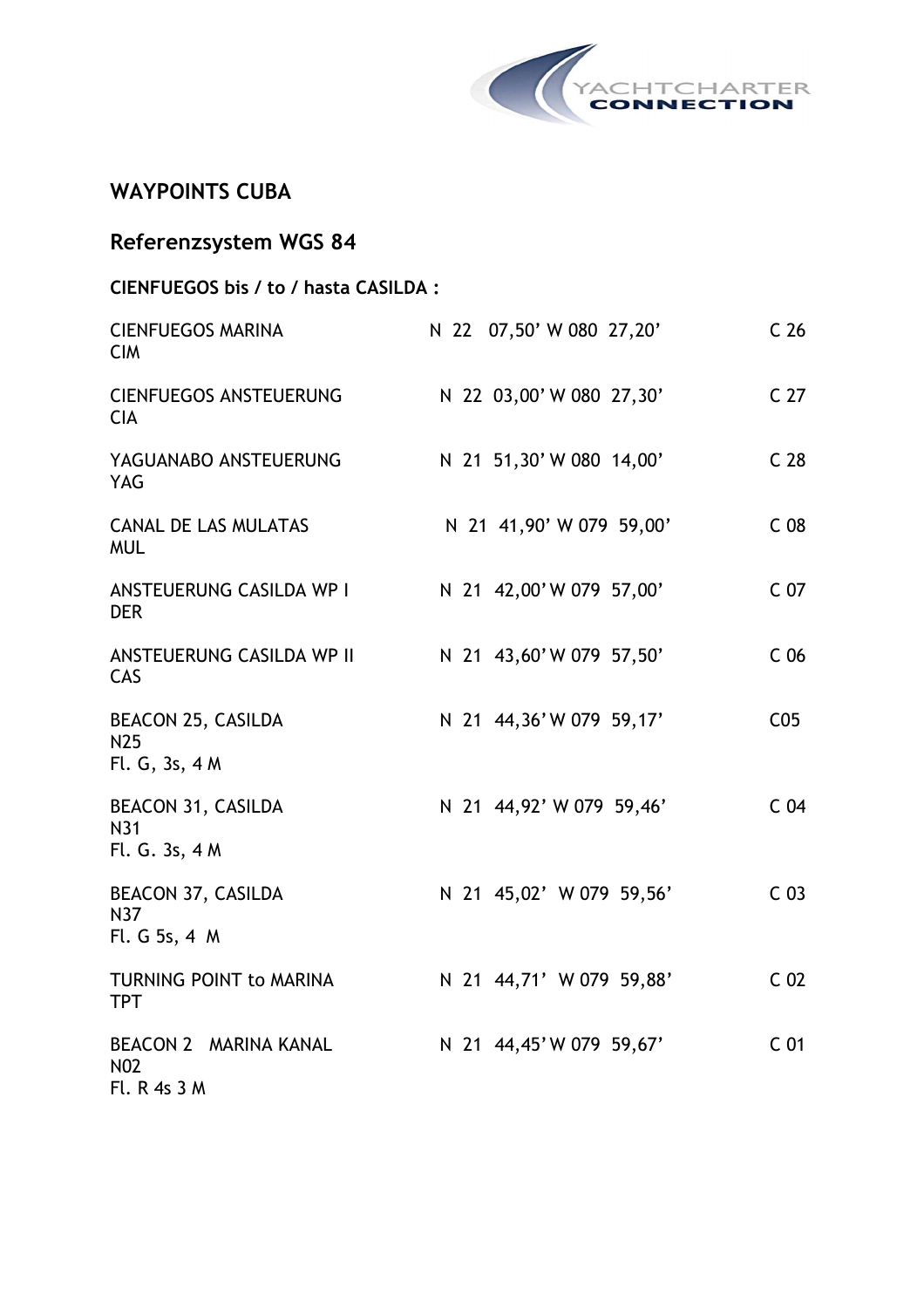

### **WAYPOINTS CUBA**

| <b>Referenzsystem WGS 84</b>                                   |                          |                 |
|----------------------------------------------------------------|--------------------------|-----------------|
| CIENFUEGOS bis / to / hasta CASILDA :                          |                          |                 |
| <b>CIENFUEGOS MARINA</b><br><b>CIM</b>                         | N 22 07,50' W 080 27,20' | C <sub>26</sub> |
| <b>CIENFUEGOS ANSTEUERUNG</b><br><b>CIA</b>                    | N 22 03,00' W 080 27,30' | C <sub>27</sub> |
| YAGUANABO ANSTEUERUNG<br><b>YAG</b>                            | N 21 51,30' W 080 14,00' | C <sub>28</sub> |
| <b>CANAL DE LAS MULATAS</b><br><b>MUL</b>                      | N 21 41,90' W 079 59,00' | C <sub>08</sub> |
| ANSTEUERUNG CASILDA WP I<br><b>DER</b>                         | N 21 42,00'W 079 57,00'  | C <sub>07</sub> |
| ANSTEUERUNG CASILDA WP II<br>CAS                               | N 21 43,60'W 079 57,50'  | C <sub>06</sub> |
| <b>BEACON 25, CASILDA</b><br>N <sub>25</sub><br>Fl. G, 3s, 4 M | N 21 44,36'W 079 59,17'  | C <sub>05</sub> |
| BEACON 31, CASILDA<br>N31<br>Fl. G. 3s, 4 M                    | N 21 44,92' W 079 59,46' | C <sub>04</sub> |
| <b>BEACON 37, CASILDA</b><br>N37<br>Fl. G 5s, 4 M              | N 21 45,02' W 079 59,56' | C <sub>03</sub> |
| TURNING POINT to MARINA<br><b>TPT</b>                          | N 21 44,71' W 079 59,88' | C <sub>02</sub> |
| BEACON 2 MARINA KANAL<br>N <sub>0</sub> 2<br>Fl. R 4s 3 M      | N 21 44,45'W 079 59,67'  | C <sub>01</sub> |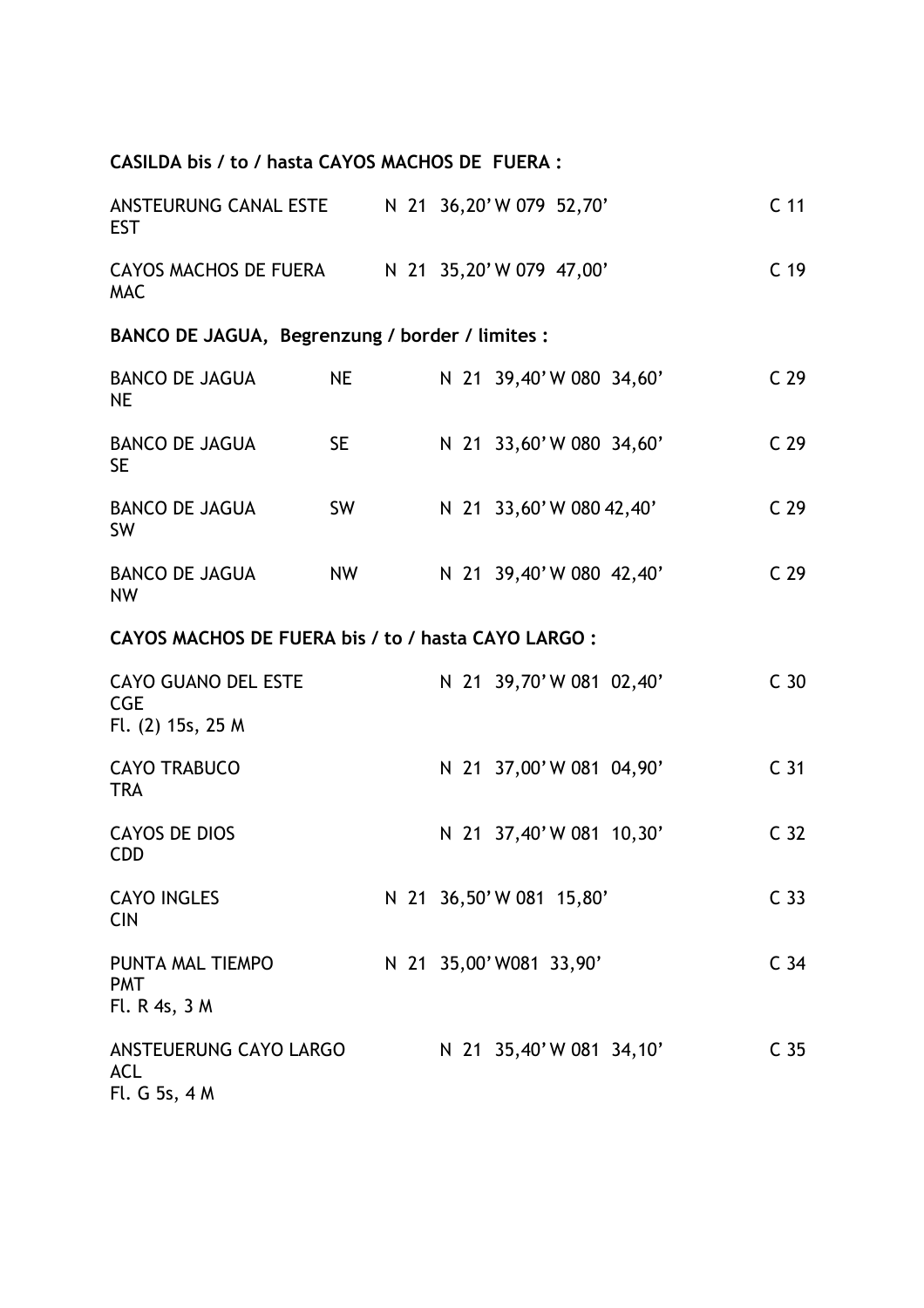# **CASILDA bis / to / hasta CAYOS MACHOS DE FUERA :**

| ANSTEURUNG CANAL ESTE N 21 36,20'W 079 52,70'<br><b>EST</b>   |           |  |                          | C <sub>11</sub> |
|---------------------------------------------------------------|-----------|--|--------------------------|-----------------|
| CAYOS MACHOS DE FUERA N 21 35,20'W 079 47,00'<br><b>MAC</b>   |           |  |                          | C <sub>19</sub> |
| BANCO DE JAGUA, Begrenzung / border / limites :               |           |  |                          |                 |
| <b>BANCO DE JAGUA</b><br><b>NE</b>                            | <b>NE</b> |  | N 21 39,40'W 080 34,60'  | C <sub>29</sub> |
| <b>BANCO DE JAGUA</b><br><b>SE</b>                            | SE -      |  | N 21 33,60'W 080 34,60'  | C <sub>29</sub> |
| <b>BANCO DE JAGUA</b><br><b>SW</b>                            | SW        |  | N 21 33,60' W 080 42,40' | C <sub>29</sub> |
| <b>BANCO DE JAGUA</b><br><b>NW</b>                            | <b>NW</b> |  | N 21 39,40'W 080 42,40'  | C <sub>29</sub> |
| CAYOS MACHOS DE FUERA bis / to / hasta CAYO LARGO:            |           |  |                          |                 |
| <b>CAYO GUANO DEL ESTE</b><br><b>CGE</b><br>Fl. (2) 15s, 25 M |           |  | N 21 39,70'W 081 02,40'  | C <sub>30</sub> |
| <b>CAYO TRABUCO</b><br><b>TRA</b>                             |           |  | N 21 37,00'W 081 04,90'  | C <sub>31</sub> |
| <b>CAYOS DE DIOS</b><br><b>CDD</b>                            |           |  | N 21 37,40'W 081 10,30'  | C <sub>32</sub> |
| <b>CAYO INGLES</b><br><b>CIN</b>                              |           |  | N 21 36,50' W 081 15,80' | C <sub>33</sub> |
| PUNTA MAL TIEMPO<br><b>PMT</b><br>Fl. R 4s, 3 M               |           |  | N 21 35,00' W081 33,90'  | C <sub>34</sub> |
| ANSTEUERUNG CAYO LARGO<br><b>ACL</b><br>Fl. G 5s, 4 M         |           |  | N 21 35,40'W 081 34,10'  | C <sub>35</sub> |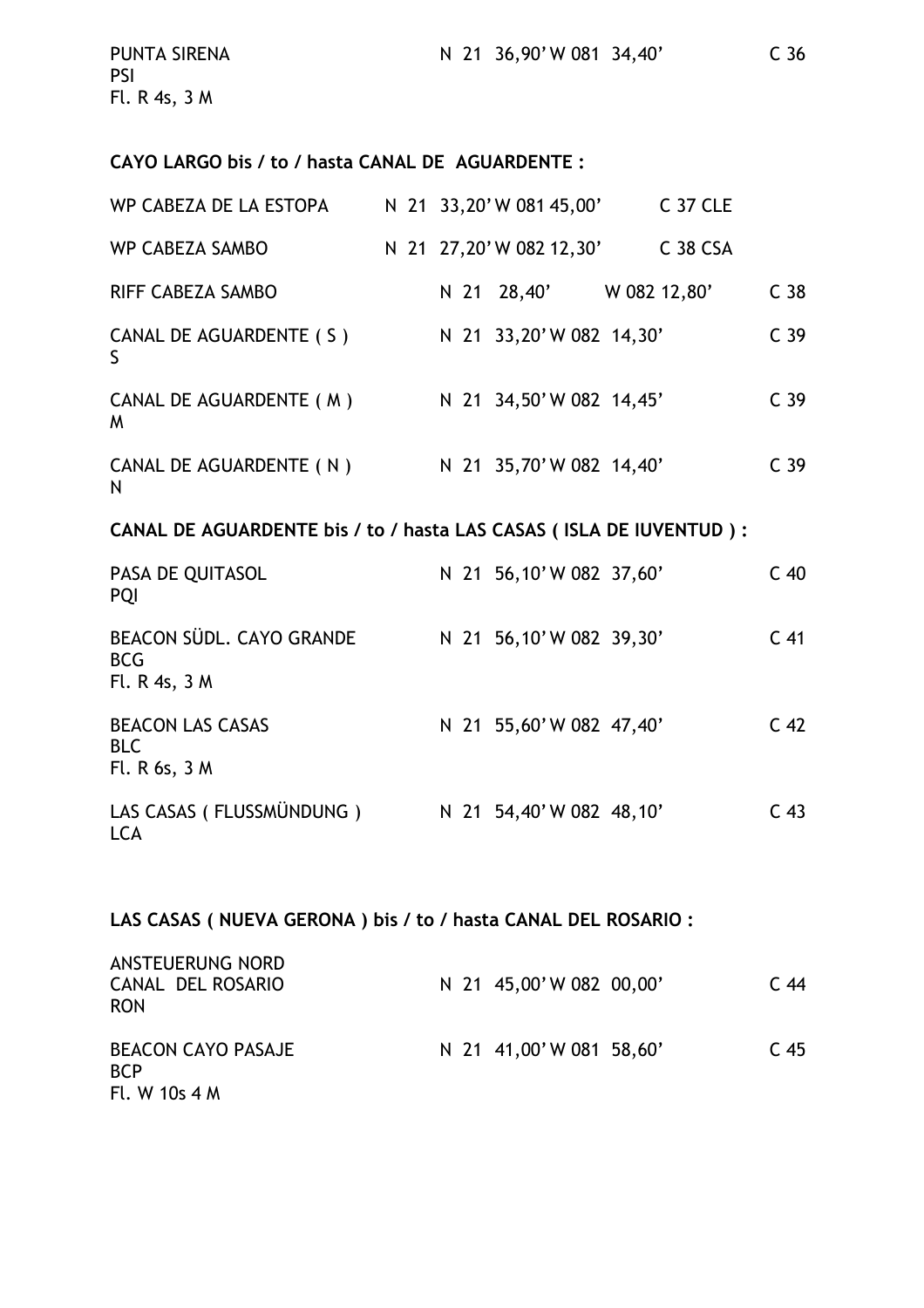| <b>PUNTA SIRENA</b><br><b>PSI</b> |  | N 21 36,90'W 081 34,40' | C <sub>36</sub> |
|-----------------------------------|--|-------------------------|-----------------|
| Fl. R 4s, $3 M$                   |  |                         |                 |

#### **CAYO LARGO bis / to / hasta CANAL DE AGUARDENTE :**

| WP CABEZA DE LA ESTOPA       |  | N 21 33,20' W 081 45,00' | C 37 CLE            |                 |
|------------------------------|--|--------------------------|---------------------|-----------------|
| <b>WP CABEZA SAMBO</b>       |  | N 21 27,20' W 082 12,30' | C <sub>38</sub> CSA |                 |
| <b>RIFF CABEZA SAMBO</b>     |  | N 21 28,40'              | W 082 12,80'        | C <sub>38</sub> |
| CANAL DE AGUARDENTE (S)<br>S |  | N 21 33,20' W 082 14,30' |                     | C <sub>39</sub> |
| CANAL DE AGUARDENTE (M)<br>M |  | N 21 34,50'W 082 14,45'  |                     | C <sub>39</sub> |
| CANAL DE AGUARDENTE (N)<br>N |  | N 21 35,70'W 082 14,40'  |                     | C <sub>39</sub> |

### **CANAL DE AGUARDENTE bis / to / hasta LAS CASAS ( ISLA DE IUVENTUD ) :**

| PASA DE QUITASOL<br><b>PQI</b>                          |  | N 21 56,10'W 082 37,60' | $C$ 40          |
|---------------------------------------------------------|--|-------------------------|-----------------|
| BEACON SÜDL. CAYO GRANDE<br><b>BCG</b><br>Fl. R 4s, 3 M |  | N 21 56,10'W 082 39,30' | C <sub>41</sub> |
| <b>BEACON LAS CASAS</b><br><b>BLC</b><br>Fl. R 6s, 3 M  |  | N 21 55,60'W 082 47,40' | C <sub>42</sub> |
| LAS CASAS (FLUSSMÜNDUNG)<br><b>LCA</b>                  |  | N 21 54,40'W 082 48,10' | C <sub>43</sub> |

### **LAS CASAS ( NUEVA GERONA ) bis / to / hasta CANAL DEL ROSARIO :**

| ANSTEUERUNG NORD<br>CANAL DEL ROSARIO<br><b>RON</b>      |  | N 21 45,00'W 082 00,00' | C 44            |
|----------------------------------------------------------|--|-------------------------|-----------------|
| <b>BEACON CAYO PASAJE</b><br><b>BCP</b><br>Fl. W 10s 4 M |  | N 21 41,00'W 081 58,60' | C <sub>45</sub> |